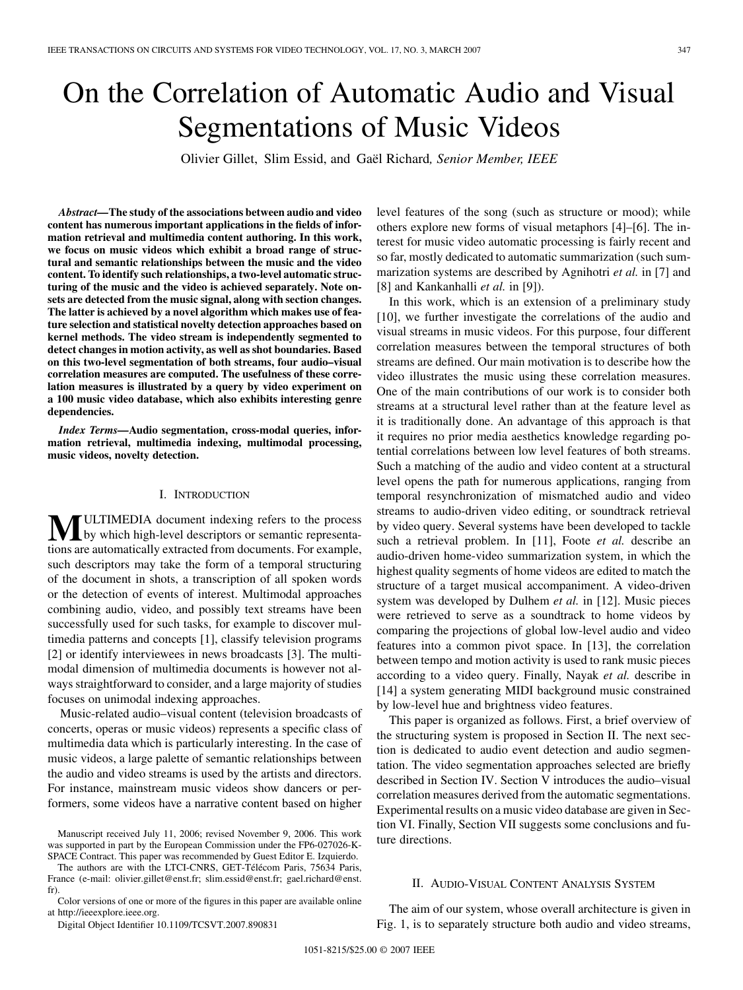# On the Correlation of Automatic Audio and Visual Segmentations of Music Videos

Olivier Gillet, Slim Essid, and Gaël Richard*, Senior Member, IEEE*

*Abstract—***The study of the associations between audio and video content has numerous important applications in the fields of information retrieval and multimedia content authoring. In this work, we focus on music videos which exhibit a broad range of structural and semantic relationships between the music and the video content. To identify such relationships, a two-level automatic structuring of the music and the video is achieved separately. Note onsets are detected from the music signal, along with section changes. The latter is achieved by a novel algorithm which makes use of feature selection and statistical novelty detection approaches based on kernel methods. The video stream is independently segmented to detect changes in motion activity, as well as shot boundaries. Based on this two-level segmentation of both streams, four audio–visual correlation measures are computed. The usefulness of these correlation measures is illustrated by a query by video experiment on a 100 music video database, which also exhibits interesting genre dependencies.**

*Index Terms—***Audio segmentation, cross-modal queries, information retrieval, multimedia indexing, multimodal processing, music videos, novelty detection.**

## I. INTRODUCTION

**M**ULTIMEDIA document indexing refers to the process<br>tions are outomotically outpacted from documents. For example tions are automatically extracted from documents. For example, such descriptors may take the form of a temporal structuring of the document in shots, a transcription of all spoken words or the detection of events of interest. Multimodal approaches combining audio, video, and possibly text streams have been successfully used for such tasks, for example to discover multimedia patterns and concepts [\[1\],](#page-7-0) classify television programs [\[2\]](#page-7-0) or identify interviewees in news broadcasts [\[3\]](#page-7-0). The multimodal dimension of multimedia documents is however not always straightforward to consider, and a large majority of studies focuses on unimodal indexing approaches.

Music-related audio–visual content (television broadcasts of concerts, operas or music videos) represents a specific class of multimedia data which is particularly interesting. In the case of music videos, a large palette of semantic relationships between the audio and video streams is used by the artists and directors. For instance, mainstream music videos show dancers or performers, some videos have a narrative content based on higher

The authors are with the LTCI-CNRS, GET-Télécom Paris, 75634 Paris, France (e-mail: olivier.gillet@enst.fr; slim.essid@enst.fr; gael.richard@enst. fr).

Color versions of one or more of the figures in this paper are available online at http://ieeexplore.ieee.org.

Digital Object Identifier 10.1109/TCSVT.2007.890831

level features of the song (such as structure or mood); while others explore new forms of visual metaphors [\[4\]–\[6\]](#page-7-0). The interest for music video automatic processing is fairly recent and so far, mostly dedicated to automatic summarization (such summarization systems are described by Agnihotri *et al.* in [\[7\]](#page-7-0) and [\[8\]](#page-8-0) and Kankanhalli *et al.* in [\[9\]](#page-8-0)).

In this work, which is an extension of a preliminary study [\[10\],](#page-8-0) we further investigate the correlations of the audio and visual streams in music videos. For this purpose, four different correlation measures between the temporal structures of both streams are defined. Our main motivation is to describe how the video illustrates the music using these correlation measures. One of the main contributions of our work is to consider both streams at a structural level rather than at the feature level as it is traditionally done. An advantage of this approach is that it requires no prior media aesthetics knowledge regarding potential correlations between low level features of both streams. Such a matching of the audio and video content at a structural level opens the path for numerous applications, ranging from temporal resynchronization of mismatched audio and video streams to audio-driven video editing, or soundtrack retrieval by video query. Several systems have been developed to tackle such a retrieval problem. In [\[11\]](#page-8-0), Foote *et al.* describe an audio-driven home-video summarization system, in which the highest quality segments of home videos are edited to match the structure of a target musical accompaniment. A video-driven system was developed by Dulhem *et al.* in [\[12\].](#page-8-0) Music pieces were retrieved to serve as a soundtrack to home videos by comparing the projections of global low-level audio and video features into a common pivot space. In [\[13\]](#page-8-0), the correlation between tempo and motion activity is used to rank music pieces according to a video query. Finally, Nayak *et al.* describe in [\[14\]](#page-8-0) a system generating MIDI background music constrained by low-level hue and brightness video features.

This paper is organized as follows. First, a brief overview of the structuring system is proposed in Section II. The next section is dedicated to audio event detection and audio segmentation. The video segmentation approaches selected are briefly described in [Section IV](#page-4-0). [Section V](#page-5-0) introduces the audio–visual correlation measures derived from the automatic segmentations. Experimental results on a music video database are given in [Sec](#page-5-0)tion VI. Finally, [Section VII](#page-7-0) suggests some conclusions and future directions.

#### II. AUDIO-VISUAL CONTENT ANALYSIS SYSTEM

The aim of our system, whose overall architecture is given in [Fig. 1,](#page-1-0) is to separately structure both audio and video streams,

Manuscript received July 11, 2006; revised November 9, 2006. This work was supported in part by the European Commission under the FP6-027026-K-SPACE Contract. This paper was recommended by Guest Editor E. Izquierdo.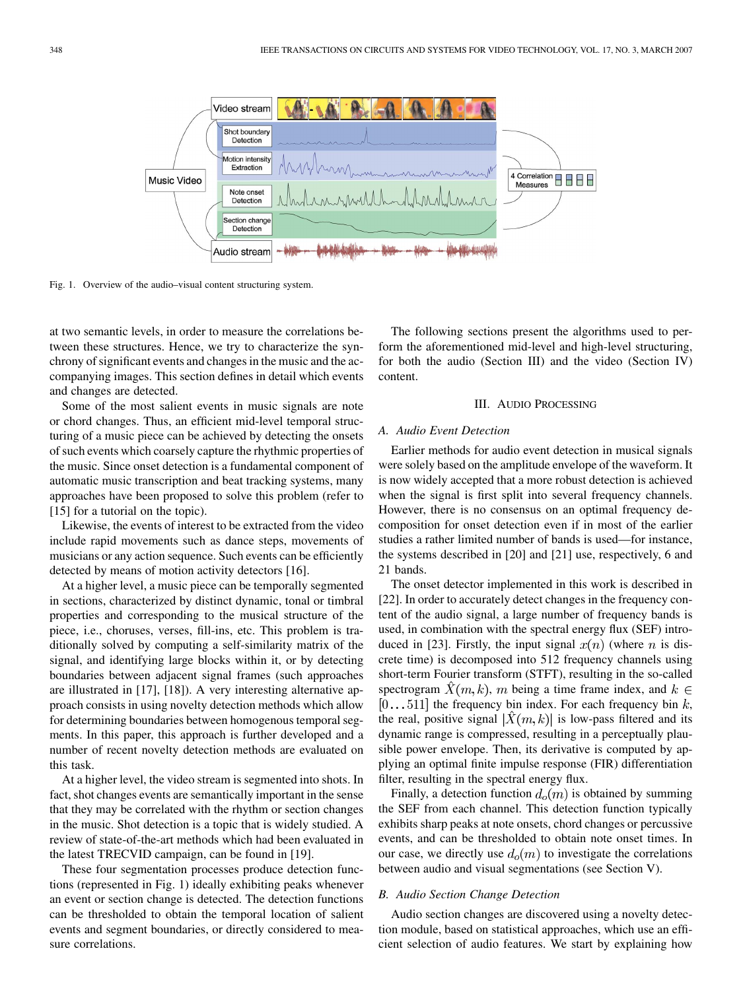<span id="page-1-0"></span>

Fig. 1. Overview of the audio–visual content structuring system.

at two semantic levels, in order to measure the correlations between these structures. Hence, we try to characterize the synchrony of significant events and changes in the music and the accompanying images. This section defines in detail which events and changes are detected.

Some of the most salient events in music signals are note or chord changes. Thus, an efficient mid-level temporal structuring of a music piece can be achieved by detecting the onsets of such events which coarsely capture the rhythmic properties of the music. Since onset detection is a fundamental component of automatic music transcription and beat tracking systems, many approaches have been proposed to solve this problem (refer to [\[15\]](#page-8-0) for a tutorial on the topic).

Likewise, the events of interest to be extracted from the video include rapid movements such as dance steps, movements of musicians or any action sequence. Such events can be efficiently detected by means of motion activity detectors [\[16\]](#page-8-0).

At a higher level, a music piece can be temporally segmented in sections, characterized by distinct dynamic, tonal or timbral properties and corresponding to the musical structure of the piece, i.e., choruses, verses, fill-ins, etc. This problem is traditionally solved by computing a self-similarity matrix of the signal, and identifying large blocks within it, or by detecting boundaries between adjacent signal frames (such approaches are illustrated in [\[17\]](#page-8-0), [\[18\]\)](#page-8-0). A very interesting alternative approach consists in using novelty detection methods which allow for determining boundaries between homogenous temporal segments. In this paper, this approach is further developed and a number of recent novelty detection methods are evaluated on this task.

At a higher level, the video stream is segmented into shots. In fact, shot changes events are semantically important in the sense that they may be correlated with the rhythm or section changes in the music. Shot detection is a topic that is widely studied. A review of state-of-the-art methods which had been evaluated in the latest TRECVID campaign, can be found in [\[19\].](#page-8-0)

These four segmentation processes produce detection functions (represented in Fig. 1) ideally exhibiting peaks whenever an event or section change is detected. The detection functions can be thresholded to obtain the temporal location of salient events and segment boundaries, or directly considered to measure correlations.

The following sections present the algorithms used to perform the aforementioned mid-level and high-level structuring, for both the audio (Section III) and the video [\(Section IV](#page-4-0)) content.

#### III. AUDIO PROCESSING

#### *A. Audio Event Detection*

Earlier methods for audio event detection in musical signals were solely based on the amplitude envelope of the waveform. It is now widely accepted that a more robust detection is achieved when the signal is first split into several frequency channels. However, there is no consensus on an optimal frequency decomposition for onset detection even if in most of the earlier studies a rather limited number of bands is used—for instance, the systems described in [\[20\]](#page-8-0) and [\[21\]](#page-8-0) use, respectively, 6 and 21 bands.

The onset detector implemented in this work is described in [\[22\]](#page-8-0). In order to accurately detect changes in the frequency content of the audio signal, a large number of frequency bands is used, in combination with the spectral energy flux (SEF) intro-duced in [\[23\]](#page-8-0). Firstly, the input signal  $x(n)$  (where n is discrete time) is decomposed into 512 frequency channels using short-term Fourier transform (STFT), resulting in the so-called spectrogram  $X(m, k)$ , m being a time frame index, and  $k \in$  $[0 \dots 511]$  the frequency bin index. For each frequency bin k, the real, positive signal  $|X(m, k)|$  is low-pass filtered and its dynamic range is compressed, resulting in a perceptually plausible power envelope. Then, its derivative is computed by applying an optimal finite impulse response (FIR) differentiation filter, resulting in the spectral energy flux.

Finally, a detection function  $d_o(m)$  is obtained by summing the SEF from each channel. This detection function typically exhibits sharp peaks at note onsets, chord changes or percussive events, and can be thresholded to obtain note onset times. In our case, we directly use  $d_o(m)$  to investigate the correlations between audio and visual segmentations (see [Section V\)](#page-5-0).

## *B. Audio Section Change Detection*

Audio section changes are discovered using a novelty detection module, based on statistical approaches, which use an efficient selection of audio features. We start by explaining how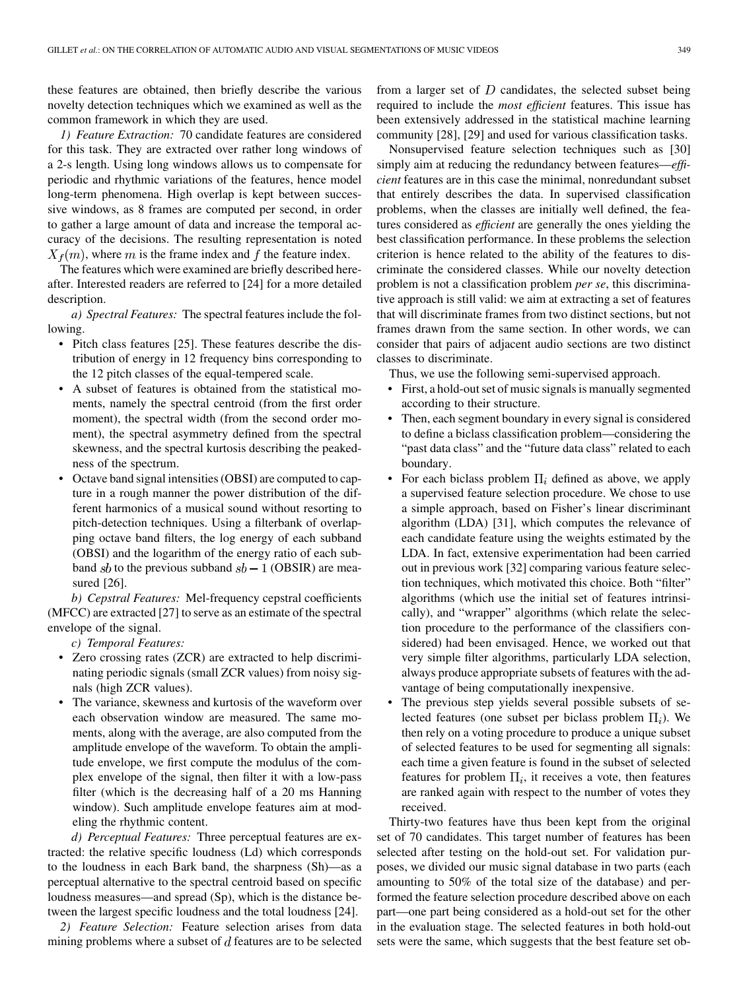<span id="page-2-0"></span>these features are obtained, then briefly describe the various novelty detection techniques which we examined as well as the common framework in which they are used.

*1) Feature Extraction:* 70 candidate features are considered for this task. They are extracted over rather long windows of a 2-s length. Using long windows allows us to compensate for periodic and rhythmic variations of the features, hence model long-term phenomena. High overlap is kept between successive windows, as 8 frames are computed per second, in order to gather a large amount of data and increase the temporal accuracy of the decisions. The resulting representation is noted  $X_f(m)$ , where m is the frame index and f the feature index.

The features which were examined are briefly described hereafter. Interested readers are referred to [\[24\]](#page-8-0) for a more detailed description.

*a) Spectral Features:* The spectral features include the following.

- Pitch class features [\[25\]](#page-8-0). These features describe the distribution of energy in 12 frequency bins corresponding to the 12 pitch classes of the equal-tempered scale.
- A subset of features is obtained from the statistical moments, namely the spectral centroid (from the first order moment), the spectral width (from the second order moment), the spectral asymmetry defined from the spectral skewness, and the spectral kurtosis describing the peakedness of the spectrum.
- Octave band signal intensities (OBSI) are computed to capture in a rough manner the power distribution of the different harmonics of a musical sound without resorting to pitch-detection techniques. Using a filterbank of overlapping octave band filters, the log energy of each subband (OBSI) and the logarithm of the energy ratio of each subband sb to the previous subband  $sb - 1$  (OBSIR) are measured [\[26\]](#page-8-0).

*b) Cepstral Features:* Mel-frequency cepstral coefficients (MFCC) are extracted [\[27\]](#page-8-0) to serve as an estimate of the spectral envelope of the signal.

*c) Temporal Features:*

- Zero crossing rates (ZCR) are extracted to help discriminating periodic signals (small ZCR values) from noisy signals (high ZCR values).
- The variance, skewness and kurtosis of the waveform over each observation window are measured. The same moments, along with the average, are also computed from the amplitude envelope of the waveform. To obtain the amplitude envelope, we first compute the modulus of the complex envelope of the signal, then filter it with a low-pass filter (which is the decreasing half of a 20 ms Hanning window). Such amplitude envelope features aim at modeling the rhythmic content.

*d) Perceptual Features:* Three perceptual features are extracted: the relative specific loudness (Ld) which corresponds to the loudness in each Bark band, the sharpness (Sh)—as a perceptual alternative to the spectral centroid based on specific loudness measures—and spread (Sp), which is the distance between the largest specific loudness and the total loudness [\[24\].](#page-8-0)

*2) Feature Selection:* Feature selection arises from data mining problems where a subset of  $d$  features are to be selected from a larger set of  $D$  candidates, the selected subset being required to include the *most efficient* features. This issue has been extensively addressed in the statistical machine learning community [\[28\], \[29\]](#page-8-0) and used for various classification tasks.

Nonsupervised feature selection techniques such as [\[30\]](#page-8-0) simply aim at reducing the redundancy between features—*efficient* features are in this case the minimal, nonredundant subset that entirely describes the data. In supervised classification problems, when the classes are initially well defined, the features considered as *efficient* are generally the ones yielding the best classification performance. In these problems the selection criterion is hence related to the ability of the features to discriminate the considered classes. While our novelty detection problem is not a classification problem *per se*, this discriminative approach is still valid: we aim at extracting a set of features that will discriminate frames from two distinct sections, but not frames drawn from the same section. In other words, we can consider that pairs of adjacent audio sections are two distinct classes to discriminate.

Thus, we use the following semi-supervised approach.

- First, a hold-out set of music signals is manually segmented according to their structure.
- Then, each segment boundary in every signal is considered to define a biclass classification problem—considering the "past data class" and the "future data class" related to each boundary.
- For each biclass problem  $\Pi_i$  defined as above, we apply a supervised feature selection procedure. We chose to use a simple approach, based on Fisher's linear discriminant algorithm (LDA) [\[31\]](#page-8-0), which computes the relevance of each candidate feature using the weights estimated by the LDA. In fact, extensive experimentation had been carried out in previous work [\[32\]](#page-8-0) comparing various feature selection techniques, which motivated this choice. Both "filter" algorithms (which use the initial set of features intrinsically), and "wrapper" algorithms (which relate the selection procedure to the performance of the classifiers considered) had been envisaged. Hence, we worked out that very simple filter algorithms, particularly LDA selection, always produce appropriate subsets of features with the advantage of being computationally inexpensive.
- The previous step yields several possible subsets of selected features (one subset per biclass problem  $\Pi_i$ ). We then rely on a voting procedure to produce a unique subset of selected features to be used for segmenting all signals: each time a given feature is found in the subset of selected features for problem  $\Pi_i$ , it receives a vote, then features are ranked again with respect to the number of votes they received.

Thirty-two features have thus been kept from the original set of 70 candidates. This target number of features has been selected after testing on the hold-out set. For validation purposes, we divided our music signal database in two parts (each amounting to 50% of the total size of the database) and performed the feature selection procedure described above on each part—one part being considered as a hold-out set for the other in the evaluation stage. The selected features in both hold-out sets were the same, which suggests that the best feature set ob-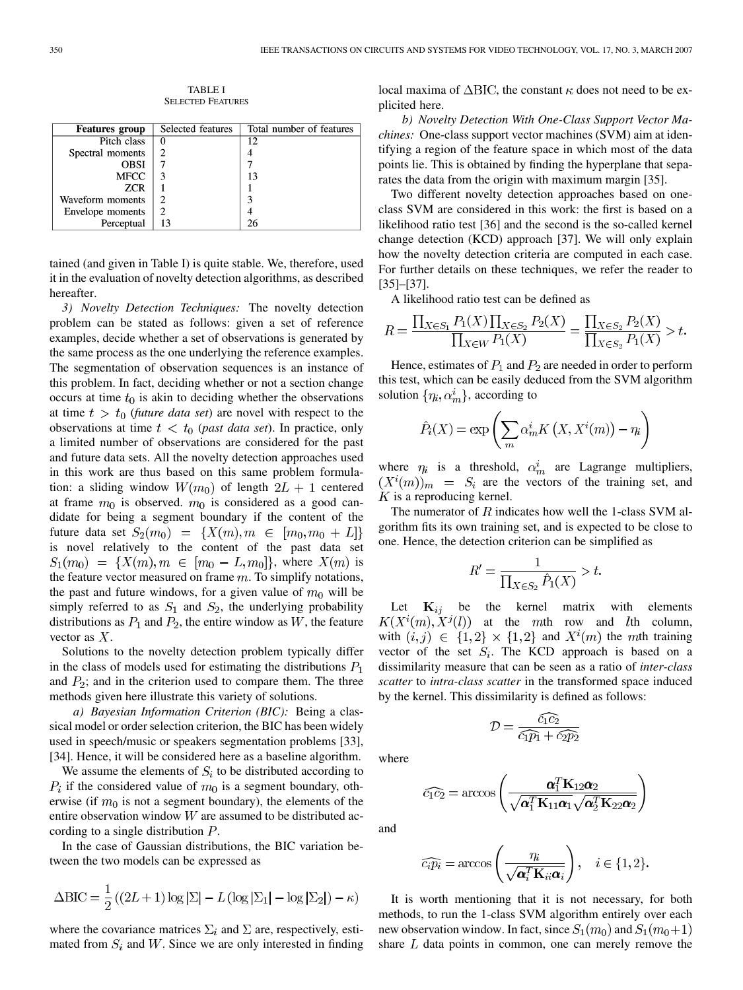| <b>Features</b> group | Selected features | Total number of features |
|-----------------------|-------------------|--------------------------|
| Pitch class           |                   | 12                       |
| Spectral moments      |                   |                          |
| <b>OBSI</b>           |                   |                          |
| <b>MFCC</b>           | 3                 | 13                       |
| <b>ZCR</b>            |                   |                          |
| Waveform moments      |                   |                          |
| Envelope moments      |                   |                          |
| Perceptual            | 13                | 26                       |

TABLE I SELECTED FEATURES

tained (and given in Table I) is quite stable. We, therefore, used it in the evaluation of novelty detection algorithms, as described hereafter.

*3) Novelty Detection Techniques:* The novelty detection problem can be stated as follows: given a set of reference examples, decide whether a set of observations is generated by the same process as the one underlying the reference examples. The segmentation of observation sequences is an instance of this problem. In fact, deciding whether or not a section change occurs at time  $t_0$  is akin to deciding whether the observations at time  $t > t_0$  (future data set) are novel with respect to the observations at time  $t < t_0$  (past data set). In practice, only a limited number of observations are considered for the past and future data sets. All the novelty detection approaches used in this work are thus based on this same problem formulation: a sliding window  $W(m_0)$  of length  $2L + 1$  centered at frame  $m_0$  is observed.  $m_0$  is considered as a good candidate for being a segment boundary if the content of the future data set  $S_2(m_0) = \{X(m), m \in [m_0, m_0 + L]\}$ is novel relatively to the content of the past data set  $S_1(m_0) = \{X(m), m \in [m_0 - L, m_0]\},$  where  $X(m)$  is the feature vector measured on frame  $m$ . To simplify notations, the past and future windows, for a given value of  $m_0$  will be simply referred to as  $S_1$  and  $S_2$ , the underlying probability distributions as  $P_1$  and  $P_2$ , the entire window as W, the feature vector as  $X$ .

Solutions to the novelty detection problem typically differ in the class of models used for estimating the distributions  $P_1$ and  $P_2$ ; and in the criterion used to compare them. The three methods given here illustrate this variety of solutions.

*a) Bayesian Information Criterion (BIC):* Being a classical model or order selection criterion, the BIC has been widely used in speech/music or speakers segmentation problems [\[33\]](#page-8-0), [\[34\]](#page-8-0). Hence, it will be considered here as a baseline algorithm.

We assume the elements of  $S_i$  to be distributed according to  $P_i$  if the considered value of  $m_0$  is a segment boundary, otherwise (if  $m_0$  is not a segment boundary), the elements of the entire observation window  $W$  are assumed to be distributed according to a single distribution  $P$ .

In the case of Gaussian distributions, the BIC variation between the two models can be expressed as

$$
\Delta \text{BIC} = \frac{1}{2} \left( (2L + 1) \log |\Sigma| - L \left( \log |\Sigma_1| - \log |\Sigma_2| \right) - \kappa \right)
$$

where the covariance matrices  $\Sigma_i$  and  $\Sigma$  are, respectively, estimated from  $S_i$  and W. Since we are only interested in finding

local maxima of  $\triangle BIC$ , the constant  $\kappa$  does not need to be explicited here.

*b) Novelty Detection With One-Class Support Vector Machines:* One-class support vector machines (SVM) aim at identifying a region of the feature space in which most of the data points lie. This is obtained by finding the hyperplane that separates the data from the origin with maximum margin [\[35\]](#page-8-0).

Two different novelty detection approaches based on oneclass SVM are considered in this work: the first is based on a likelihood ratio test [\[36\]](#page-8-0) and the second is the so-called kernel change detection (KCD) approach [\[37\].](#page-8-0) We will only explain how the novelty detection criteria are computed in each case. For further details on these techniques, we refer the reader to [\[35\]–\[37\].](#page-8-0)

A likelihood ratio test can be defined as

$$
R = \frac{\prod_{X \in S_1} P_1(X) \prod_{X \in S_2} P_2(X)}{\prod_{X \in W} P_1(X)} = \frac{\prod_{X \in S_2} P_2(X)}{\prod_{X \in S_2} P_1(X)} > t.
$$

Hence, estimates of  $P_1$  and  $P_2$  are needed in order to perform this test, which can be easily deduced from the SVM algorithm solution  $\{\eta_i, \alpha_m^i\}$ , according to

$$
\hat{P}_i(X) = \exp\left(\sum_m \alpha_m^i K\left(X, X^i(m)\right) - \eta_i\right)
$$

where  $\eta_i$  is a threshold,  $\alpha_m^i$  are Lagrange multipliers,  $(X^i(m))_m = S_i$  are the vectors of the training set, and  $K$  is a reproducing kernel.

The numerator of  $R$  indicates how well the 1-class SVM algorithm fits its own training set, and is expected to be close to one. Hence, the detection criterion can be simplified as

$$
R' = \frac{1}{\prod_{X \in S_2} \hat{P}_1(X)} > t.
$$

Let  $\mathbf{K}_{ij}$  be the kernel matrix with elements  $K(X^i(m), X^j(l))$  at the mth row and lth column, with  $(i, j) \in \{1, 2\} \times \{1, 2\}$  and  $X^i(m)$  the mth training vector of the set  $S_i$ . The KCD approach is based on a dissimilarity measure that can be seen as a ratio of *inter-class scatter* to *intra-class scatter* in the transformed space induced by the kernel. This dissimilarity is defined as follows:

$$
D = \frac{c_1 c_2}{\widehat{c_1 p_1} + \widehat{c_2 p_2}}
$$

where

and

$$
\widehat{c_1c_2} = \arccos\left(\frac{\boldsymbol{\alpha}_1^T\mathbf{K}_{12}\boldsymbol{\alpha}_2}{\sqrt{\boldsymbol{\alpha}_1^T\mathbf{K}_{11}\boldsymbol{\alpha}_1}\sqrt{\boldsymbol{\alpha}_2^T\mathbf{K}_{22}\boldsymbol{\alpha}_2}}\right)
$$

$$
\widehat{c_i p_i} = \arccos\left(\frac{\eta_i}{\sqrt{\mathbf{\alpha}_i^T \mathbf{K}_{ii} \mathbf{\alpha}_i}}\right), \quad i \in \{1, 2\}
$$

It is worth mentioning that it is not necessary, for both methods, to run the 1-class SVM algorithm entirely over each new observation window. In fact, since  $S_1(m_0)$  and  $S_1(m_0+1)$ share  $L$  data points in common, one can merely remove the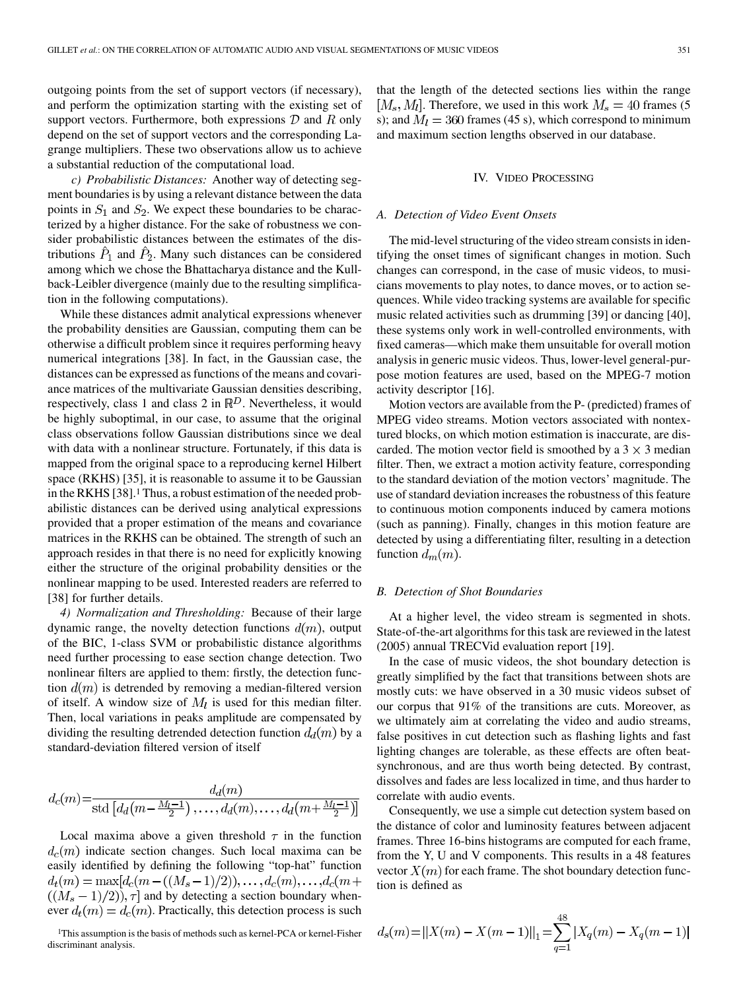<span id="page-4-0"></span>outgoing points from the set of support vectors (if necessary), and perform the optimization starting with the existing set of support vectors. Furthermore, both expressions  $D$  and  $R$  only depend on the set of support vectors and the corresponding Lagrange multipliers. These two observations allow us to achieve a substantial reduction of the computational load.

*c) Probabilistic Distances:* Another way of detecting segment boundaries is by using a relevant distance between the data points in  $S_1$  and  $S_2$ . We expect these boundaries to be characterized by a higher distance. For the sake of robustness we consider probabilistic distances between the estimates of the distributions  $\hat{P}_1$  and  $\hat{P}_2$ . Many such distances can be considered among which we chose the Bhattacharya distance and the Kullback-Leibler divergence (mainly due to the resulting simplification in the following computations).

While these distances admit analytical expressions whenever the probability densities are Gaussian, computing them can be otherwise a difficult problem since it requires performing heavy numerical integrations [\[38\]](#page-8-0). In fact, in the Gaussian case, the distances can be expressed as functions of the means and covariance matrices of the multivariate Gaussian densities describing, respectively, class 1 and class 2 in  $\mathbb{R}^D$ . Nevertheless, it would be highly suboptimal, in our case, to assume that the original class observations follow Gaussian distributions since we deal with data with a nonlinear structure. Fortunately, if this data is mapped from the original space to a reproducing kernel Hilbert space (RKHS) [\[35\],](#page-8-0) it is reasonable to assume it to be Gaussian in the RKHS [\[38\]](#page-8-0).1 Thus, a robust estimation of the needed probabilistic distances can be derived using analytical expressions provided that a proper estimation of the means and covariance matrices in the RKHS can be obtained. The strength of such an approach resides in that there is no need for explicitly knowing either the structure of the original probability densities or the nonlinear mapping to be used. Interested readers are referred to [\[38\]](#page-8-0) for further details.

*4) Normalization and Thresholding:* Because of their large dynamic range, the novelty detection functions  $d(m)$ , output of the BIC, 1-class SVM or probabilistic distance algorithms need further processing to ease section change detection. Two nonlinear filters are applied to them: firstly, the detection function  $d(m)$  is detrended by removing a median-filtered version of itself. A window size of  $M_l$  is used for this median filter. Then, local variations in peaks amplitude are compensated by dividing the resulting detrended detection function  $d_d(m)$  by a standard-deviation filtered version of itself

$$
d_c(m) = \frac{d_d(m)}{\text{std}\left[d_d\left(m - \frac{M_l - 1}{2}\right), \dots, d_d(m), \dots, d_d\left(m + \frac{M_l - 1}{2}\right)\right]}
$$

Local maxima above a given threshold  $\tau$  in the function  $d_c(m)$  indicate section changes. Such local maxima can be easily identified by defining the following "top-hat" function  $d_t(m) = \max[d_c(m-((M_s-1)/2)), \ldots, d_c(m), \ldots, d_c(m))$  $((M<sub>s</sub> - 1)/2)), \tau$  and by detecting a section boundary whenever  $d_t(m) = d_c(m)$ . Practically, this detection process is such that the length of the detected sections lies within the range  $[M_s, M_l]$ . Therefore, we used in this work  $M_s = 40$  frames (5) s); and  $M_l = 360$  frames (45 s), which correspond to minimum and maximum section lengths observed in our database.

## IV. VIDEO PROCESSING

#### *A. Detection of Video Event Onsets*

The mid-level structuring of the video stream consists in identifying the onset times of significant changes in motion. Such changes can correspond, in the case of music videos, to musicians movements to play notes, to dance moves, or to action sequences. While video tracking systems are available for specific music related activities such as drumming [\[39\]](#page-8-0) or dancing [\[40\],](#page-8-0) these systems only work in well-controlled environments, with fixed cameras—which make them unsuitable for overall motion analysis in generic music videos. Thus, lower-level general-purpose motion features are used, based on the MPEG-7 motion activity descriptor [\[16\].](#page-8-0)

Motion vectors are available from the P- (predicted) frames of MPEG video streams. Motion vectors associated with nontextured blocks, on which motion estimation is inaccurate, are discarded. The motion vector field is smoothed by a  $3 \times 3$  median filter. Then, we extract a motion activity feature, corresponding to the standard deviation of the motion vectors' magnitude. The use of standard deviation increases the robustness of this feature to continuous motion components induced by camera motions (such as panning). Finally, changes in this motion feature are detected by using a differentiating filter, resulting in a detection function  $d_m(m)$ .

#### *B. Detection of Shot Boundaries*

At a higher level, the video stream is segmented in shots. State-of-the-art algorithms for this task are reviewed in the latest (2005) annual TRECVid evaluation report [\[19\].](#page-8-0)

In the case of music videos, the shot boundary detection is greatly simplified by the fact that transitions between shots are mostly cuts: we have observed in a 30 music videos subset of our corpus that 91% of the transitions are cuts. Moreover, as we ultimately aim at correlating the video and audio streams, false positives in cut detection such as flashing lights and fast lighting changes are tolerable, as these effects are often beatsynchronous, and are thus worth being detected. By contrast, dissolves and fades are less localized in time, and thus harder to correlate with audio events.

Consequently, we use a simple cut detection system based on the distance of color and luminosity features between adjacent frames. Three 16-bins histograms are computed for each frame, from the Y, U and V components. This results in a 48 features vector  $X(m)$  for each frame. The shot boundary detection function is defined as

$$
d_s(m) = ||X(m) - X(m-1)||_1 = \sum_{q=1}^{48} |X_q(m) - X_q(m-1)|
$$

<sup>&</sup>lt;sup>1</sup>This assumption is the basis of methods such as kernel-PCA or kernel-Fisher discriminant analysis.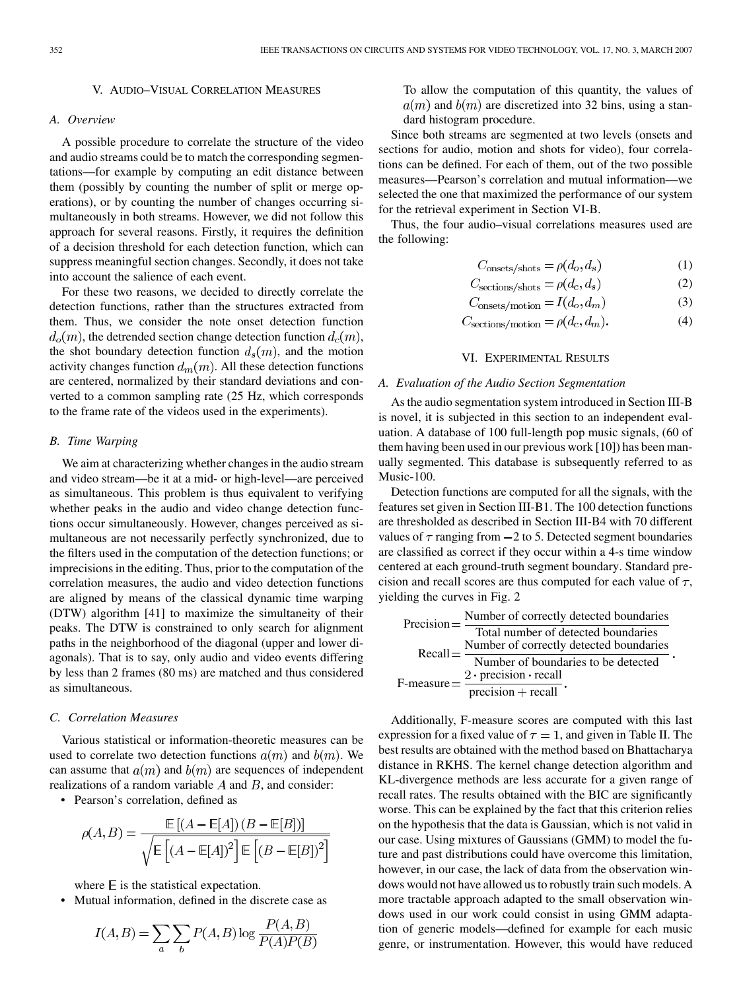#### V. AUDIO–VISUAL CORRELATION MEASURES

## <span id="page-5-0"></span>*A. Overview*

A possible procedure to correlate the structure of the video and audio streams could be to match the corresponding segmentations—for example by computing an edit distance between them (possibly by counting the number of split or merge operations), or by counting the number of changes occurring simultaneously in both streams. However, we did not follow this approach for several reasons. Firstly, it requires the definition of a decision threshold for each detection function, which can suppress meaningful section changes. Secondly, it does not take into account the salience of each event.

For these two reasons, we decided to directly correlate the detection functions, rather than the structures extracted from them. Thus, we consider the note onset detection function  $d_o(m)$ , the detrended section change detection function  $d_c(m)$ , the shot boundary detection function  $d_s(m)$ , and the motion activity changes function  $d_m(m)$ . All these detection functions are centered, normalized by their standard deviations and converted to a common sampling rate (25 Hz, which corresponds to the frame rate of the videos used in the experiments).

#### *B. Time Warping*

We aim at characterizing whether changes in the audio stream and video stream—be it at a mid- or high-level—are perceived as simultaneous. This problem is thus equivalent to verifying whether peaks in the audio and video change detection functions occur simultaneously. However, changes perceived as simultaneous are not necessarily perfectly synchronized, due to the filters used in the computation of the detection functions; or imprecisions in the editing. Thus, prior to the computation of the correlation measures, the audio and video detection functions are aligned by means of the classical dynamic time warping (DTW) algorithm [\[41\]](#page-8-0) to maximize the simultaneity of their peaks. The DTW is constrained to only search for alignment paths in the neighborhood of the diagonal (upper and lower diagonals). That is to say, only audio and video events differing by less than 2 frames (80 ms) are matched and thus considered as simultaneous.

## *C. Correlation Measures*

Various statistical or information-theoretic measures can be used to correlate two detection functions  $a(m)$  and  $b(m)$ . We can assume that  $a(m)$  and  $b(m)$  are sequences of independent realizations of a random variable  $A$  and  $B$ , and consider:

• Pearson's correlation, defined as

$$
\rho(A, B) = \frac{\mathbb{E}[(A - \mathbb{E}[A])(B - \mathbb{E}[B])]}{\sqrt{\mathbb{E}[(A - \mathbb{E}[A])^2]\mathbb{E}[(B - \mathbb{E}[B])^2]}}
$$

where  $E$  is the statistical expectation.

• Mutual information, defined in the discrete case as

$$
I(A, B) = \sum_{a} \sum_{b} P(A, B) \log \frac{P(A, B)}{P(A)P(B)}
$$

To allow the computation of this quantity, the values of  $a(m)$  and  $b(m)$  are discretized into 32 bins, using a standard histogram procedure.

Since both streams are segmented at two levels (onsets and sections for audio, motion and shots for video), four correlations can be defined. For each of them, out of the two possible measures—Pearson's correlation and mutual information—we selected the one that maximized the performance of our system for the retrieval experiment in [Section VI-B.](#page-6-0)

Thus, the four audio–visual correlations measures used are the following:

$$
C_{\text{onsets/shots}} = \rho(d_o, d_s) \tag{1}
$$

$$
C_{\text{sections/shots}} = \rho(d_c, d_s) \tag{2}
$$

$$
C_{\text{onsets/motion}} = I(d_o, d_m) \tag{3}
$$

$$
C_{\text{sections/motion}} = \rho(d_c, d_m). \tag{4}
$$

### VI. EXPERIMENTAL RESULTS

## *A. Evaluation of the Audio Section Segmentation*

As the audio segmentation system introduced in [Section III-B](#page-1-0) is novel, it is subjected in this section to an independent evaluation. A database of 100 full-length pop music signals, (60 of them having been used in our previous work [\[10\]\)](#page-8-0) has been manually segmented. This database is subsequently referred to as Music-100.

Detection functions are computed for all the signals, with the features set given in [Section III-B1](#page-2-0). The 100 detection functions are thresholded as described in [Section III-B4](#page-4-0) with 70 different values of  $\tau$  ranging from  $-2$  to 5. Detected segment boundaries are classified as correct if they occur within a 4-s time window centered at each ground-truth segment boundary. Standard precision and recall scores are thus computed for each value of  $\tau$ , yielding the curves in [Fig. 2](#page-6-0)

$$
Precision = \frac{Number of correctly detected boundaries}{Total number of detected boundaries}
$$
  
Recall = 
$$
\frac{Number of correctly detected boundaries}{Number of boundaries to be detected}
$$
  
F-measure = 
$$
\frac{2 \cdot precision \cdot recall}{precision + recall}
$$
.

Additionally, F-measure scores are computed with this last expression for a fixed value of  $\tau = 1$ , and given in [Table II](#page-6-0). The best results are obtained with the method based on Bhattacharya distance in RKHS. The kernel change detection algorithm and KL-divergence methods are less accurate for a given range of recall rates. The results obtained with the BIC are significantly worse. This can be explained by the fact that this criterion relies on the hypothesis that the data is Gaussian, which is not valid in our case. Using mixtures of Gaussians (GMM) to model the future and past distributions could have overcome this limitation, however, in our case, the lack of data from the observation windows would not have allowed us to robustly train such models. A more tractable approach adapted to the small observation windows used in our work could consist in using GMM adaptation of generic models—defined for example for each music genre, or instrumentation. However, this would have reduced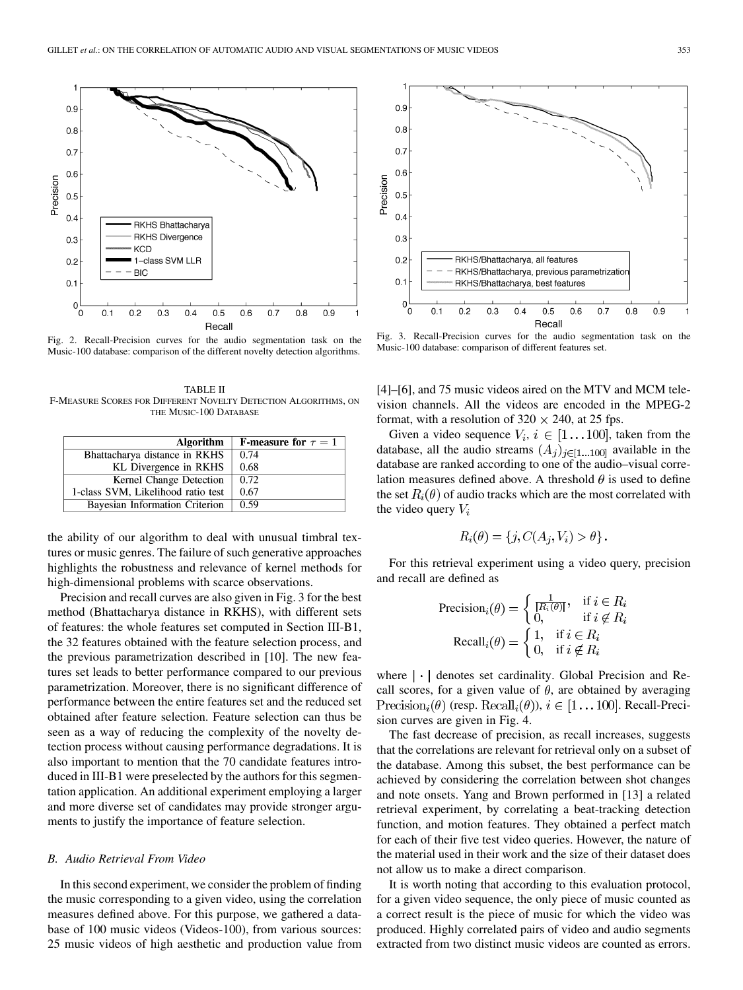<span id="page-6-0"></span>

Fig. 2. Recall-Precision curves for the audio segmentation task on the Music-100 database: comparison of the different novelty detection algorithms.

TABLE II F-MEASURE SCORES FOR DIFFERENT NOVELTY DETECTION ALGORITHMS, ON THE MUSIC-100 DATABASE

| Algorithm                          | <b>F-measure for</b> $\tau = 1$ |
|------------------------------------|---------------------------------|
| Bhattacharya distance in RKHS      | 0.74                            |
| KL Divergence in RKHS              | 0.68                            |
| Kernel Change Detection            | 0.72                            |
| 1-class SVM, Likelihood ratio test | 0.67                            |
| Bayesian Information Criterion     | 0.59                            |

the ability of our algorithm to deal with unusual timbral textures or music genres. The failure of such generative approaches highlights the robustness and relevance of kernel methods for high-dimensional problems with scarce observations.

Precision and recall curves are also given in Fig. 3 for the best method (Bhattacharya distance in RKHS), with different sets of features: the whole features set computed in [Section III-B1,](#page-2-0) the 32 features obtained with the feature selection process, and the previous parametrization described in [\[10\]](#page-8-0). The new features set leads to better performance compared to our previous parametrization. Moreover, there is no significant difference of performance between the entire features set and the reduced set obtained after feature selection. Feature selection can thus be seen as a way of reducing the complexity of the novelty detection process without causing performance degradations. It is also important to mention that the 70 candidate features introduced in [III-B1](#page-2-0) were preselected by the authors for this segmentation application. An additional experiment employing a larger and more diverse set of candidates may provide stronger arguments to justify the importance of feature selection.

#### *B. Audio Retrieval From Video*

In this second experiment, we consider the problem of finding the music corresponding to a given video, using the correlation measures defined above. For this purpose, we gathered a database of 100 music videos (Videos-100), from various sources: 25 music videos of high aesthetic and production value from



Fig. 3. Recall-Precision curves for the audio segmentation task on the Music-100 database: comparison of different features set.

[\[4\]–\[6\]](#page-7-0), and 75 music videos aired on the MTV and MCM television channels. All the videos are encoded in the MPEG-2 format, with a resolution of  $320 \times 240$ , at 25 fps.

Given a video sequence  $V_i, i \in [1...100]$ , taken from the database, all the audio streams  $(A_i)_{i \in [1...100]}$  available in the database are ranked according to one of the audio–visual correlation measures defined above. A threshold  $\theta$  is used to define the set  $R_i(\theta)$  of audio tracks which are the most correlated with the video query  $V_i$ 

$$
R_i(\theta) = \{j, C(A_j, V_i) > \theta\}.
$$

For this retrieval experiment using a video query, precision and recall are defined as

$$
\begin{aligned} \text{Precision}_{i}(\theta) &= \left\{ \begin{matrix} \frac{1}{|R_{i}(\theta)|}, & \text{if } i \in R_{i} \\ 0, & \text{if } i \notin R_{i} \end{matrix} \right. \\ \text{Recall}_{i}(\theta) &= \left\{ \begin{matrix} 1, & \text{if } i \in R_{i} \\ 0, & \text{if } i \notin R_{i} \end{matrix} \right. \end{aligned}
$$

where  $\lvert \cdot \rvert$  denotes set cardinality. Global Precision and Recall scores, for a given value of  $\theta$ , are obtained by averaging Precision<sub>i</sub>( $\theta$ ) (resp. Recall<sub>i</sub>( $\theta$ )),  $i \in [1...100]$ . Recall-Precision curves are given in [Fig. 4.](#page-7-0)

The fast decrease of precision, as recall increases, suggests that the correlations are relevant for retrieval only on a subset of the database. Among this subset, the best performance can be achieved by considering the correlation between shot changes and note onsets. Yang and Brown performed in [\[13\]](#page-8-0) a related retrieval experiment, by correlating a beat-tracking detection function, and motion features. They obtained a perfect match for each of their five test video queries. However, the nature of the material used in their work and the size of their dataset does not allow us to make a direct comparison.

It is worth noting that according to this evaluation protocol, for a given video sequence, the only piece of music counted as a correct result is the piece of music for which the video was produced. Highly correlated pairs of video and audio segments extracted from two distinct music videos are counted as errors.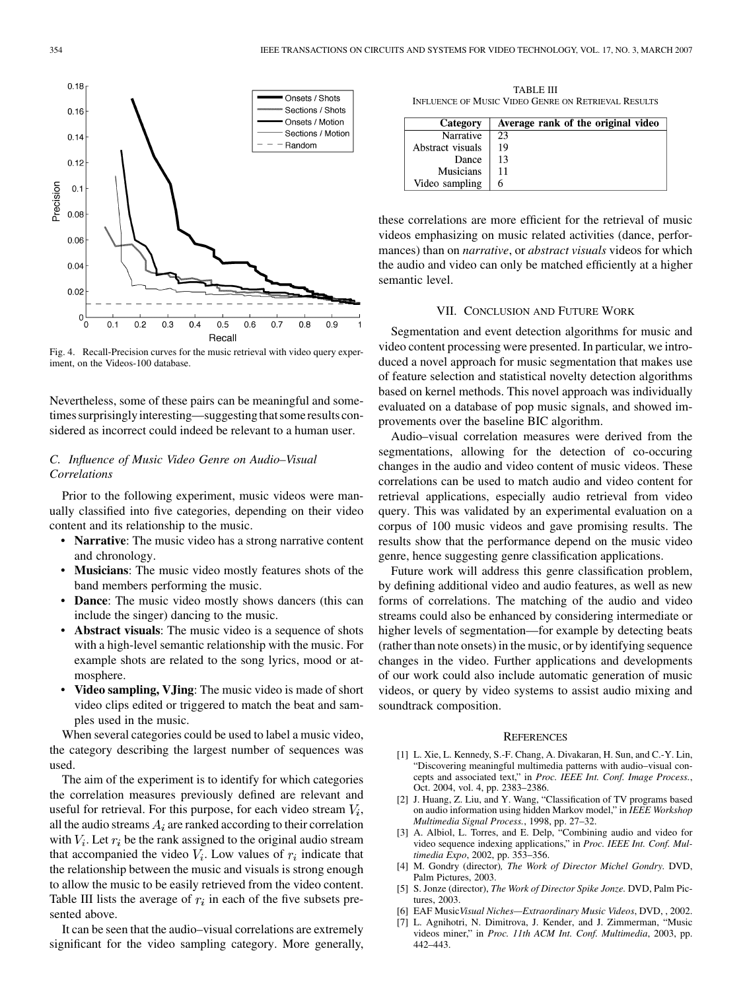<span id="page-7-0"></span>

Fig. 4. Recall-Precision curves for the music retrieval with video query experiment, on the Videos-100 database.

Nevertheless, some of these pairs can be meaningful and sometimes surprisingly interesting—suggesting that some results considered as incorrect could indeed be relevant to a human user.

## *C. Influence of Music Video Genre on Audio–Visual Correlations*

Prior to the following experiment, music videos were manually classified into five categories, depending on their video content and its relationship to the music.

- **Narrative**: The music video has a strong narrative content and chronology.
- **Musicians**: The music video mostly features shots of the band members performing the music.
- **Dance**: The music video mostly shows dancers (this can include the singer) dancing to the music.
- Abstract visuals: The music video is a sequence of shots with a high-level semantic relationship with the music. For example shots are related to the song lyrics, mood or atmosphere.
- **Video sampling, VJing**: The music video is made of short video clips edited or triggered to match the beat and samples used in the music.

When several categories could be used to label a music video, the category describing the largest number of sequences was used.

The aim of the experiment is to identify for which categories the correlation measures previously defined are relevant and useful for retrieval. For this purpose, for each video stream  $V_i$ , all the audio streams  $A_i$  are ranked according to their correlation with  $V_i$ . Let  $r_i$  be the rank assigned to the original audio stream that accompanied the video  $V_i$ . Low values of  $r_i$  indicate that the relationship between the music and visuals is strong enough to allow the music to be easily retrieved from the video content. Table III lists the average of  $r_i$  in each of the five subsets presented above.

It can be seen that the audio–visual correlations are extremely significant for the video sampling category. More generally,

TABLE III INFLUENCE OF MUSIC VIDEO GENRE ON RETRIEVAL RESULTS

| Category         | Average rank of the original video |
|------------------|------------------------------------|
| <b>Narrative</b> | 23                                 |
| Abstract visuals | 19                                 |
| Dance            |                                    |
| <b>Musicians</b> |                                    |
| Video sampling   |                                    |

these correlations are more efficient for the retrieval of music videos emphasizing on music related activities (dance, performances) than on *narrative*, or *abstract visuals* videos for which the audio and video can only be matched efficiently at a higher semantic level.

#### VII. CONCLUSION AND FUTURE WORK

Segmentation and event detection algorithms for music and video content processing were presented. In particular, we introduced a novel approach for music segmentation that makes use of feature selection and statistical novelty detection algorithms based on kernel methods. This novel approach was individually evaluated on a database of pop music signals, and showed improvements over the baseline BIC algorithm.

Audio–visual correlation measures were derived from the segmentations, allowing for the detection of co-occuring changes in the audio and video content of music videos. These correlations can be used to match audio and video content for retrieval applications, especially audio retrieval from video query. This was validated by an experimental evaluation on a corpus of 100 music videos and gave promising results. The results show that the performance depend on the music video genre, hence suggesting genre classification applications.

Future work will address this genre classification problem, by defining additional video and audio features, as well as new forms of correlations. The matching of the audio and video streams could also be enhanced by considering intermediate or higher levels of segmentation—for example by detecting beats (rather than note onsets) in the music, or by identifying sequence changes in the video. Further applications and developments of our work could also include automatic generation of music videos, or query by video systems to assist audio mixing and soundtrack composition.

#### **REFERENCES**

- [1] L. Xie, L. Kennedy, S.-F. Chang, A. Divakaran, H. Sun, and C.-Y. Lin, "Discovering meaningful multimedia patterns with audio–visual concepts and associated text," in *Proc. IEEE Int. Conf. Image Process.*, Oct. 2004, vol. 4, pp. 2383–2386.
- [2] J. Huang, Z. Liu, and Y. Wang, "Classification of TV programs based on audio information using hidden Markov model," in *IEEE Workshop Multimedia Signal Process.*, 1998, pp. 27–32.
- [3] A. Albiol, L. Torres, and E. Delp, "Combining audio and video for video sequence indexing applications," in *Proc. IEEE Int. Conf. Multimedia Expo*, 2002, pp. 353–356.
- [4] M. Gondry (director)*, The Work of Director Michel Gondry.* DVD, Palm Pictures, 2003.
- [5] S. Jonze (director), *The Work of Director Spike Jonze.* DVD, Palm Pictures, 2003.
- [6] EAF Music*Visual Niches—Extraordinary Music Videos*, DVD, , 2002.
- [7] L. Agnihotri, N. Dimitrova, J. Kender, and J. Zimmerman, "Music videos miner," in *Proc. 11th ACM Int. Conf. Multimedia*, 2003, pp. 442–443.